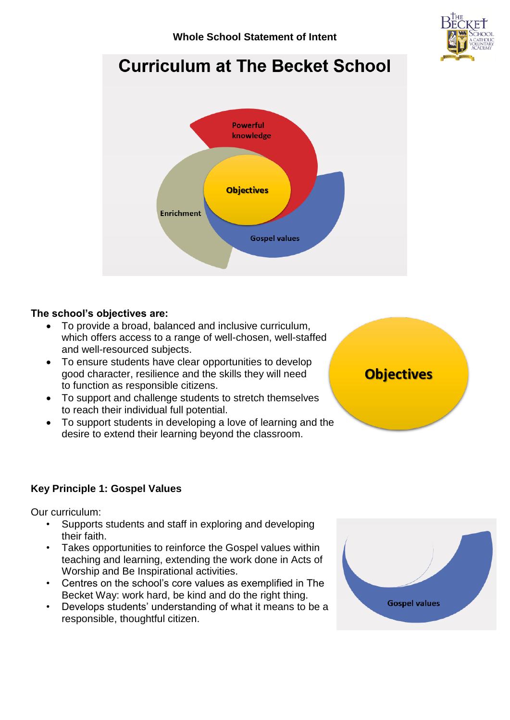

# **Curriculum at The Becket School**



# **The school's objectives are:**

- To provide a broad, balanced and inclusive curriculum, which offers access to a range of well-chosen, well-staffed and well-resourced subjects.
- To ensure students have clear opportunities to develop good character, resilience and the skills they will need to function as responsible citizens.
- To support and challenge students to stretch themselves to reach their individual full potential.
- To support students in developing a love of learning and the desire to extend their learning beyond the classroom.



# **Key Principle 1: Gospel Values**

Our curriculum:

- Supports students and staff in exploring and developing their faith.
- Takes opportunities to reinforce the Gospel values within teaching and learning, extending the work done in Acts of Worship and Be Inspirational activities.
- Centres on the school's core values as exemplified in The Becket Way: work hard, be kind and do the right thing.
- Develops students' understanding of what it means to be a responsible, thoughtful citizen.